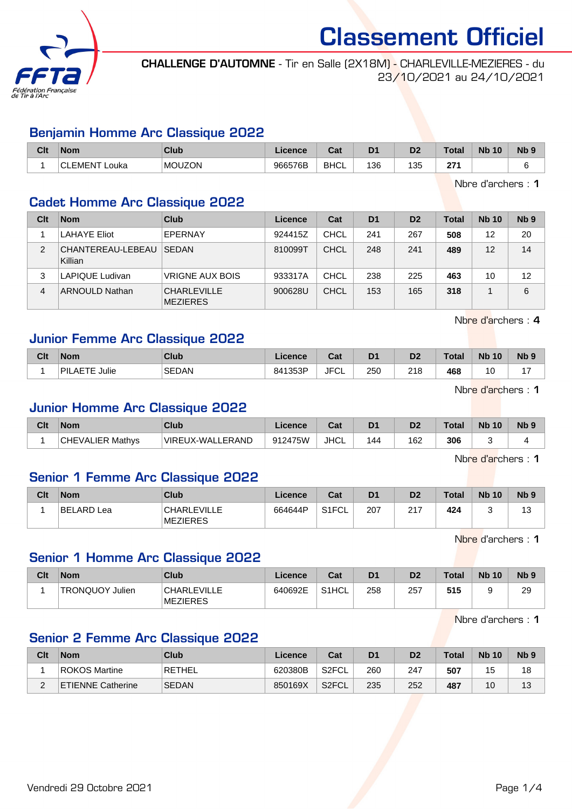

CHALLENGE D'AUTOMNE - Tir en Salle (2X18M) - CHARLEVILLE-MEZIERES - du 23/10/2021 au 24/10/2021

#### Benjamin Homme Arc Classique 2022

| <b>Clt</b> | <b>Nom</b>        | Club          | Licence | ົີີ່<br>uau | D <sub>1</sub> | m<br>ש | <b>Total</b>    | <b>Nb</b><br>10 | N <sub>b</sub> <sub>9</sub> |
|------------|-------------------|---------------|---------|-------------|----------------|--------|-----------------|-----------------|-----------------------------|
|            | ∴CLEMEN™<br>∟ouka | <b>MOUZON</b> | 966576B | <b>BHCL</b> | 136            | 135    | 27 <sub>1</sub> |                 |                             |

Nbre d'archers : 1

## Cadet Homme Arc Classique 2022

| Clt | <b>Nom</b>                   | Club                                  | Licence | Cat         | D <sub>1</sub> | D <sub>2</sub> | Total | <b>Nb 10</b> | Nb <sub>9</sub> |
|-----|------------------------------|---------------------------------------|---------|-------------|----------------|----------------|-------|--------------|-----------------|
|     | <b>LAHAYE Eliot</b>          | EPERNAY                               | 924415Z | CHCL        | 241            | 267            | 508   | 12           | 20              |
| 2   | CHANTEREAU-LEBEAU<br>Killian | <b>SEDAN</b>                          | 810099T | CHCL        | 248            | 241            | 489   | 12           | 14              |
| 3   | LAPIQUE Ludivan              | <b>VRIGNE AUX BOIS</b>                | 933317A | <b>CHCL</b> | 238            | 225            | 463   | 10           | 12              |
| 4   | <b>ARNOULD Nathan</b>        | <b>CHARLEVILLE</b><br><b>MEZIERES</b> | 900628U | CHCL        | 153            | 165            | 318   |              | 6               |

Nbre d'archers : 4

#### Junior Femme Arc Classique 2022

| Clt | <b>Nom</b>                   | Club         | .icence | ่ ^^+<br>vai | D <sub>1</sub> | D <sub>2</sub> | Total | <b>Nb</b><br>10 | <b>Nb</b> |
|-----|------------------------------|--------------|---------|--------------|----------------|----------------|-------|-----------------|-----------|
|     | ETE<br>'PIL,<br>Julie<br>AE. | <b>SEDAN</b> | 841353P | JFC'<br>ั∪∟  | 250            | 218            | 468   | 10              |           |

Nbre d'archers : 1

#### Junior Homme Arc Classique 2022

| Clt | Nom                     | Club             | Licence | ◠∼<br>⊍م    | D <sub>1</sub> | D <sub>2</sub> | Total | <b>Nb 10</b> | Nb <sub>9</sub> |
|-----|-------------------------|------------------|---------|-------------|----------------|----------------|-------|--------------|-----------------|
|     | <b>CHEVALIER Mathvs</b> | VIREUX-WALLERAND | 912475W | <b>JHCL</b> | 144            | 162            | 306   |              |                 |

Nbre d'archers : 1

#### Senior 1 Femme Arc Classique 2022

| Clt | <b>Nom</b> | Club                                  | ∟icence | Cat                | D <sub>1</sub> | D <sub>2</sub> | Total | <b>Nb 10</b> | N <sub>b</sub> <sub>9</sub> |
|-----|------------|---------------------------------------|---------|--------------------|----------------|----------------|-------|--------------|-----------------------------|
|     | BELARD Lea | <b>CHARLEVILLE</b><br><b>MEZIERES</b> | 664644P | S <sub>1</sub> FCL | 207            | 217            | 424   |              |                             |

Nbre d'archers : 1

## Senior 1 Homme Arc Classique 2022

| Clt | <b>Nom</b>                | Club                                  | Licence | Cat                | D <sub>1</sub> | D <sub>2</sub> | <b>Total</b> | <b>Nb 10</b> | N <sub>b</sub> <sub>9</sub> |
|-----|---------------------------|---------------------------------------|---------|--------------------|----------------|----------------|--------------|--------------|-----------------------------|
|     | <b>TRONQUOY</b><br>Julien | <b>CHARLEVILLE</b><br><b>MEZIERES</b> | 640692E | S <sub>1</sub> HCL | 258            | 257            | 515          |              | 29                          |

Nbre d'archers : 1

#### Senior 2 Femme Arc Classique 2022

| Clt | <b>Nom</b>               | Club          | Licence | Cat   | D1  | D2  | Total | <b>Nb 10</b> | N <sub>b</sub> <sub>9</sub> |
|-----|--------------------------|---------------|---------|-------|-----|-----|-------|--------------|-----------------------------|
|     | ROKOS Martine            | <b>RETHEL</b> | 620380B | S2FCL | 260 | 247 | 507   | 15           | 18                          |
|     | <b>ETIENNE Catherine</b> | <b>SEDAN</b>  | 850169X | S2FCL | 235 | 252 | 487   | 10           | 12<br>l J                   |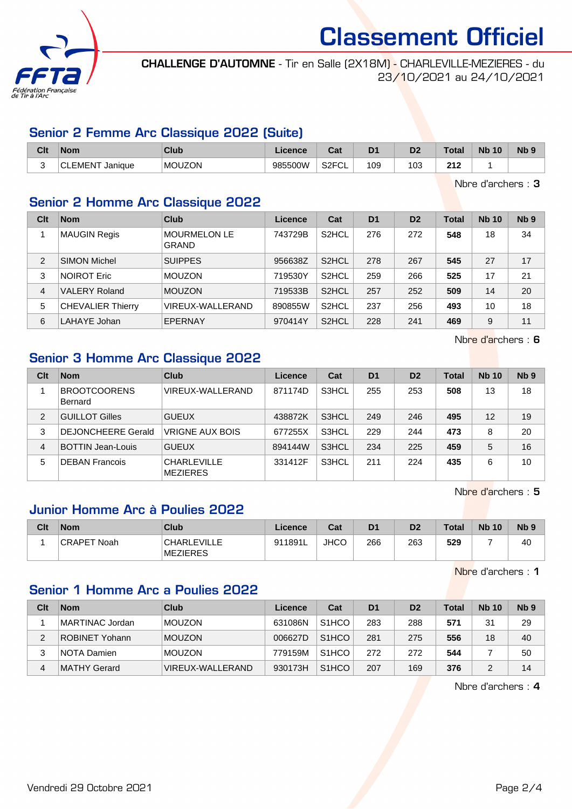

CHALLENGE D'AUTOMNE - Tir en Salle (2X18M) - CHARLEVILLE-MEZIERES - du 23/10/2021 au 24/10/2021

## Senior 2 Femme Arc Classique 2022 (Suite)

| Clt | <b>Nom</b>                     | Club          | ∟icence | ີີ<br>⊍aι                 | D <sub>1</sub> | D2  | <b>Total</b> | <b>N<sub>b</sub></b><br>10 | N <sub>b</sub> <sub>9</sub> |
|-----|--------------------------------|---------------|---------|---------------------------|----------------|-----|--------------|----------------------------|-----------------------------|
|     | EMENT.<br><sup>-</sup> Janique | <b>MOUZON</b> | 985500W | S <sub>2</sub> FCL<br>∵∪L | 109            | 103 | 212          |                            |                             |

Nbre d'archers : 3

## Senior 2 Homme Arc Classique 2022

| Clt            | <b>Nom</b>               | Club                                | Licence | Cat                | <b>D1</b> | D <sub>2</sub> | <b>Total</b> | <b>Nb 10</b> | N <sub>b</sub> <sub>9</sub> |
|----------------|--------------------------|-------------------------------------|---------|--------------------|-----------|----------------|--------------|--------------|-----------------------------|
|                | <b>MAUGIN Regis</b>      | <b>MOURMELON LE</b><br><b>GRAND</b> | 743729B | S <sub>2</sub> HCL | 276       | 272            | 548          | 18           | 34                          |
| $\overline{2}$ | <b>SIMON Michel</b>      | <b>SUIPPES</b>                      | 956638Z | S <sub>2</sub> HCL | 278       | 267            | 545          | 27           | 17                          |
| 3              | <b>NOIROT Eric</b>       | <b>MOUZON</b>                       | 719530Y | S <sub>2</sub> HCL | 259       | 266            | 525          | 17           | 21                          |
| $\overline{4}$ | <b>VALERY Roland</b>     | <b>MOUZON</b>                       | 719533B | S <sub>2</sub> HCL | 257       | 252            | 509          | 14           | 20                          |
| 5              | <b>CHEVALIER Thierry</b> | VIREUX-WALLERAND                    | 890855W | S <sub>2</sub> HCL | 237       | 256            | 493          | 10           | 18                          |
| 6              | LAHAYE Johan             | EPERNAY                             | 970414Y | S <sub>2</sub> HCL | 228       | 241            | 469          | 9            | 11                          |

Nbre d'archers : 6

# Senior 3 Homme Arc Classique 2022

| Clt            | <b>Nom</b>                     | Club                                  | Licence | Cat   | D <sub>1</sub> | D <sub>2</sub> | <b>Total</b> | <b>Nb 10</b> | N <sub>b</sub> <sub>9</sub> |
|----------------|--------------------------------|---------------------------------------|---------|-------|----------------|----------------|--------------|--------------|-----------------------------|
|                | <b>BROOTCOORENS</b><br>Bernard | VIREUX-WALLERAND                      | 871174D | S3HCL | 255            | 253            | 508          | 13           | 18                          |
| $\overline{2}$ | <b>GUILLOT Gilles</b>          | <b>GUEUX</b>                          | 438872K | S3HCL | 249            | 246            | 495          | 12           | 19                          |
| 3              | <b>DEJONCHEERE Gerald</b>      | <b>VRIGNE AUX BOIS</b>                | 677255X | S3HCL | 229            | 244            | 473          | 8            | 20                          |
| 4              | <b>BOTTIN Jean-Louis</b>       | <b>GUEUX</b>                          | 894144W | S3HCL | 234            | 225            | 459          | 5            | 16                          |
| 5              | <b>DEBAN Francois</b>          | <b>CHARLEVILLE</b><br><b>MEZIERES</b> | 331412F | S3HCL | 211            | 224            | 435          | 6            | 10                          |

Nbre d'archers : 5

# Junior Homme Arc à Poulies 2022

| Clt | <b>Nom</b>              | Club                                  | <b>Licence</b> | Cat         | D <sub>1</sub> | D <sub>2</sub> | <b>Total</b> | <b>Nb 10</b> | N <sub>b</sub> <sub>9</sub> |
|-----|-------------------------|---------------------------------------|----------------|-------------|----------------|----------------|--------------|--------------|-----------------------------|
|     | <b>CRAPET</b><br>' Noah | <b>CHARLEVILLE</b><br><b>MEZIERES</b> | 911891L        | <b>JHCO</b> | 266            | 263            | 529          |              | 40                          |

Nbre d'archers : 1

# Senior 1 Homme Arc a Poulies 2022

| Clt | <b>Nom</b>            | Club             | Licence | Cat                | D <sub>1</sub> | D <sub>2</sub> | Total | <b>Nb 10</b> | Nb <sub>9</sub> |
|-----|-----------------------|------------------|---------|--------------------|----------------|----------------|-------|--------------|-----------------|
|     | MARTINAC Jordan       | <b>MOUZON</b>    | 631086N | S <sub>1</sub> HCO | 283            | 288            | 571   | 31           | 29              |
| 2   | <b>ROBINET Yohann</b> | <b>MOUZON</b>    | 006627D | S <sub>1</sub> HCO | 281            | 275            | 556   | 18           | 40              |
|     | NOTA Damien           | <b>MOUZON</b>    | 779159M | S <sub>1</sub> HCO | 272            | 272            | 544   |              | 50              |
| 4   | <b>MATHY Gerard</b>   | VIREUX-WALLERAND | 930173H | S <sub>1</sub> HCO | 207            | 169            | 376   |              | 14              |

Nbre d'archers : 4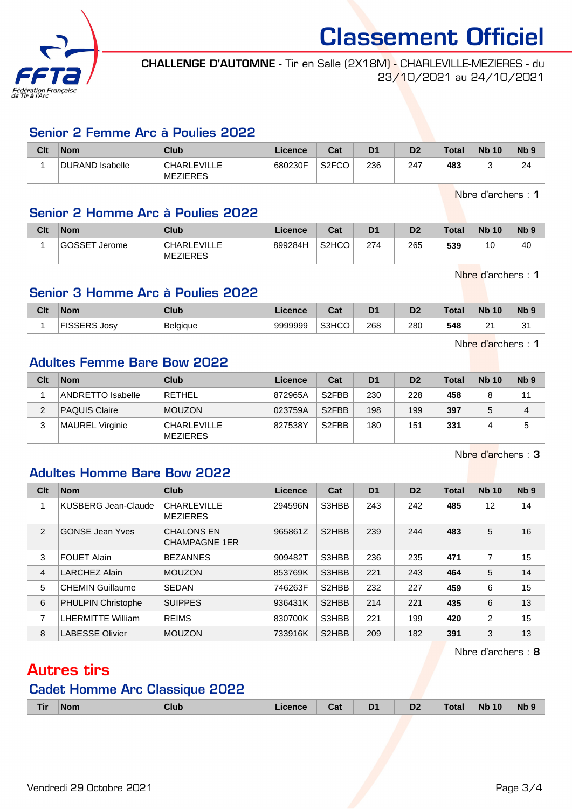

CHALLENGE D'AUTOMNE - Tir en Salle (2X18M) - CHARLEVILLE-MEZIERES - du 23/10/2021 au 24/10/2021

## Senior 2 Femme Arc à Poulies 2022

| Clt | <b>Nom</b>      | Club                                  | Licence | Cat                | D <sub>1</sub> | D <sub>2</sub> | <b>Total</b> | <b>Nb 10</b> | N <sub>b</sub> <sub>9</sub> |
|-----|-----------------|---------------------------------------|---------|--------------------|----------------|----------------|--------------|--------------|-----------------------------|
|     | DURAND Isabelle | <b>CHARLEVILLE</b><br><b>MEZIERES</b> | 680230F | S <sub>2</sub> FCO | 236            | 247            | 483          |              | 24                          |

Nbre d'archers : 1

# Senior 2 Homme Arc à Poulies 2022

| Clt | <b>Nom</b>    | <b>Club</b>                           | Licence | Cat                | D <sub>1</sub> | D <sub>2</sub> | Total | <b>Nb 10</b> | N <sub>b</sub> <sub>9</sub> |
|-----|---------------|---------------------------------------|---------|--------------------|----------------|----------------|-------|--------------|-----------------------------|
|     | GOSSET Jerome | <b>CHARLEVILLE</b><br><b>MEZIERES</b> | 899284H | S <sub>2</sub> HCO | 274            | 265            | 539   | 10           | 40                          |

Nbre d'archers : 1

# Senior 3 Homme Arc à Poulies 2022

| Clt | Nom    | Club            | Licence | ו ה<br>uai | D <sup>1</sup> | D <sub>2</sub> | Total | <b>Nb</b><br>10 | <b>Nb</b> |
|-----|--------|-----------------|---------|------------|----------------|----------------|-------|-----------------|-----------|
|     | . Josv | <b>Belgique</b> | 9999999 | S3HCO      | 268            | 280<br>__      | 548   | ົ<br>∼          | c.<br>ັ   |

Nbre d'archers : 1

# Adultes Femme Bare Bow 2022

| Clt | <b>Nom</b>               | <b>Club</b>                           | Licence | Cat                | D <sub>1</sub> | D <sub>2</sub> | <b>Total</b> | <b>Nb 10</b> | N <sub>b</sub> <sub>9</sub> |
|-----|--------------------------|---------------------------------------|---------|--------------------|----------------|----------------|--------------|--------------|-----------------------------|
|     | <b>ANDRETTO Isabelle</b> | <b>RETHEL</b>                         | 872965A | S <sub>2</sub> FBB | 230            | 228            | 458          | 8            | 11                          |
| 2   | <b>PAQUIS Claire</b>     | <b>MOUZON</b>                         | 023759A | S <sub>2</sub> FBB | 198            | 199            | 397          | 5            | 4                           |
| 3   | MAUREL Virginie          | <b>CHARLEVILLE</b><br><b>MEZIERES</b> | 827538Y | S <sub>2</sub> FBB | 180            | 151            | 331          | 4            | 5                           |

Nbre d'archers : 3

#### Adultes Homme Bare Bow 2022

| Clt | <b>Nom</b>                | Club                                      | <b>Licence</b> | Cat                | D <sub>1</sub> | D <sub>2</sub> | <b>Total</b> | <b>Nb 10</b>   | Nb <sub>9</sub> |
|-----|---------------------------|-------------------------------------------|----------------|--------------------|----------------|----------------|--------------|----------------|-----------------|
| 1   | KUSBERG Jean-Claude       | <b>CHARLEVILLE</b><br><b>MEZIERES</b>     | 294596N        | S3HBB              | 243            | 242            | 485          | 12             | 14              |
| 2   | <b>GONSE Jean Yves</b>    | <b>CHALONS EN</b><br><b>CHAMPAGNE 1ER</b> | 965861Z        | S <sub>2</sub> HBB | 239            | 244            | 483          | 5              | 16              |
| 3   | <b>FOUET Alain</b>        | <b>BEZANNES</b>                           | 909482T        | S3HBB              | 236            | 235            | 471          | 7              | 15              |
| 4   | <b>LARCHEZ Alain</b>      | <b>MOUZON</b>                             | 853769K        | S3HBB              | 221            | 243            | 464          | 5              | 14              |
| 5   | <b>CHEMIN Guillaume</b>   | <b>SEDAN</b>                              | 746263F        | S <sub>2</sub> HBB | 232            | 227            | 459          | 6              | 15              |
| 6   | <b>PHULPIN Christophe</b> | <b>SUIPPES</b>                            | 936431K        | S <sub>2</sub> HBB | 214            | 221            | 435          | 6              | 13              |
| 7   | <b>LHERMITTE William</b>  | <b>REIMS</b>                              | 830700K        | S3HBB              | 221            | 199            | 420          | $\overline{2}$ | 15              |
| 8   | <b>LABESSE Olivier</b>    | <b>MOUZON</b>                             | 733916K        | S <sub>2</sub> HBB | 209            | 182            | 391          | 3              | 13              |

Nbre d'archers : 8

# Autres tirs

# Cadet Homme Arc Classique 2022

| <b>Tir</b> | <b>Nom</b> | <b>Club</b> | Licence | Cat | D <sub>1</sub> | D <sub>2</sub> | <b>Total</b> | <b>Nb 10</b> | Nb <sub>9</sub> |
|------------|------------|-------------|---------|-----|----------------|----------------|--------------|--------------|-----------------|
|            |            |             |         |     |                |                |              |              |                 |